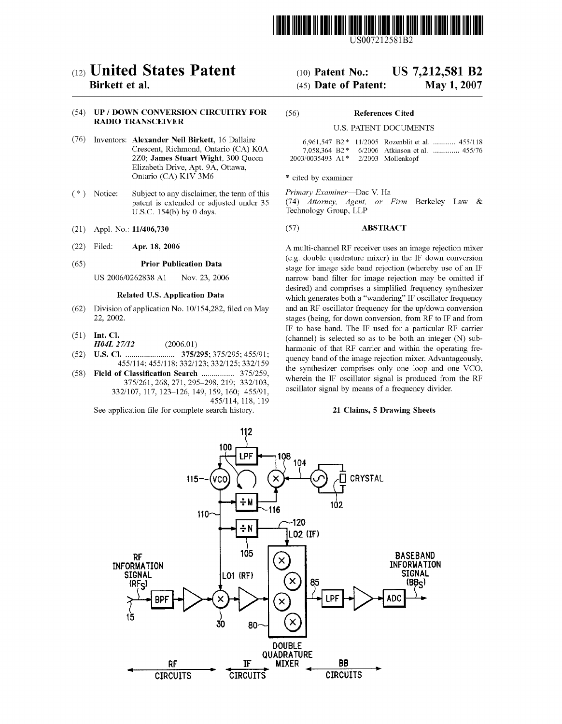

US007212581B2

# (12) United States Patent

# Birkett et al.

# (54) UP / DOWN CONVERSION CIRCUITRY FOR RADIO TRANSCEIVER

- (76) Inventors: Alexander Neil Birkett, 16 Dallaire Crescent, Richmond, Ontario (CA) K0A 2Z0; James Stuart Wight, 300 Queen Elizabeth Drive, Apt. 9A, Ottawa, Ontario (CA) K1V 3M6
- (\*) Notice: Subject to any disclaimer, the term of this patent is extended or adjusted under 35 U.S.C. 154(b) by 0 days.
- (21) Appl. No.: 11/406,730
- (22) Filed: Apr. 18, 2006

#### (65) Prior Publication Data

US 2006/0262838 A1 Nov. 23, 2006

### Related U.S. Application Data

- (62) Division of application No. 10/154,282, filed on May 22, 2002.
- $(51)$  Int. Cl.
	- H04L 27/12 (2006.01)
- (52) U.S. Cl. ........................ 375/295; 375/295; 455/91; 455/114; 455/118; 332/123; 332/125; 332/159
- (58) Field of Classification Search ................ 375/259, 375/261,268, 271, 295–298, 219; 332/103, 332/107, 117, 123–126, 149, 159, 160; 455/91, 455/114, 118, 119

See application file for complete search history.

# US 7,212.581 B2 (10) Patent No.:

#### May 1, 2007 (45) Date of Patent:

#### (56) References Cited

#### |U.S. PATENT DOCUMENTS

|                                |  |                   | 6,961,547 B2 * 11/2005 Rozenblit et al.  455/118 |
|--------------------------------|--|-------------------|--------------------------------------------------|
|                                |  |                   | 7.058.364 B2 * 6/2006 Atkinson et al.  455/76    |
| $2003/0035493$ A1 <sup>*</sup> |  | 2/2003 Mollenkopf |                                                  |

\* cited by examiner

Primary Examiner—Dac V. Ha (74) Attorney, Agent, or Firm—Berkeley Law & Technology Group, LLP

#### (57) ABSTRACT

A multi-channel RF receiver uses an image rejection mixer (e.g. double quadrature mixer) in the IF down conversion stage for image side band rejection (whereby use of an IF narrow band filter for image rejection may be omitted if desired) and comprises a simplified frequency synthesizer which generates both a "wandering" IF oscillator frequency and an RF oscillator frequency for the up/down conversion stages (being, for down conversion, from RF to IF and from IF to base band. The IF used for a particular RF carrier (channel) is selected so as to be both an integer (N) sub harmonic of that RF carrier and within the operating fre quency band of the image rejection mixer. Advantageously, the synthesizer comprises only one loop and one VCO, wherein the IF oscillator signal is produced from the RF oscillator signal by means of a frequency divider.

#### 21 Claims, 5 Drawing Sheets

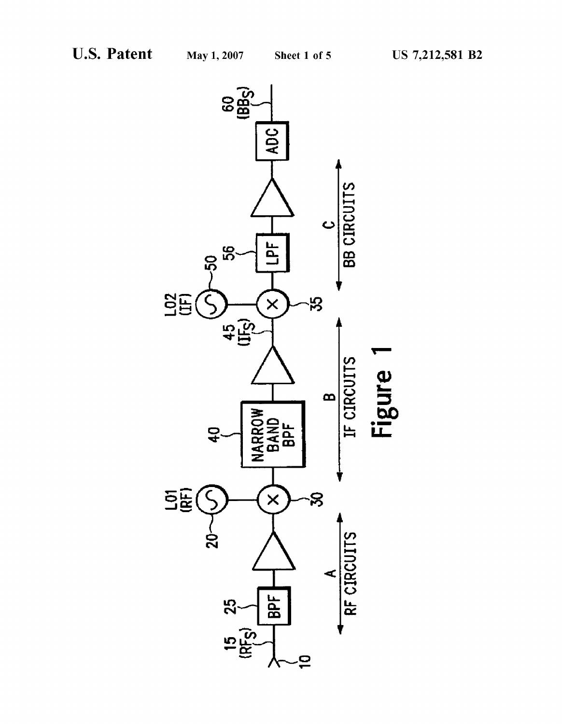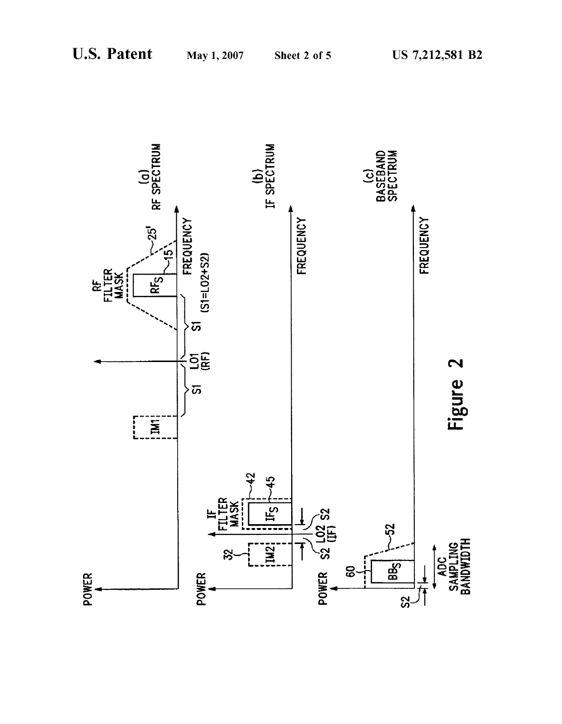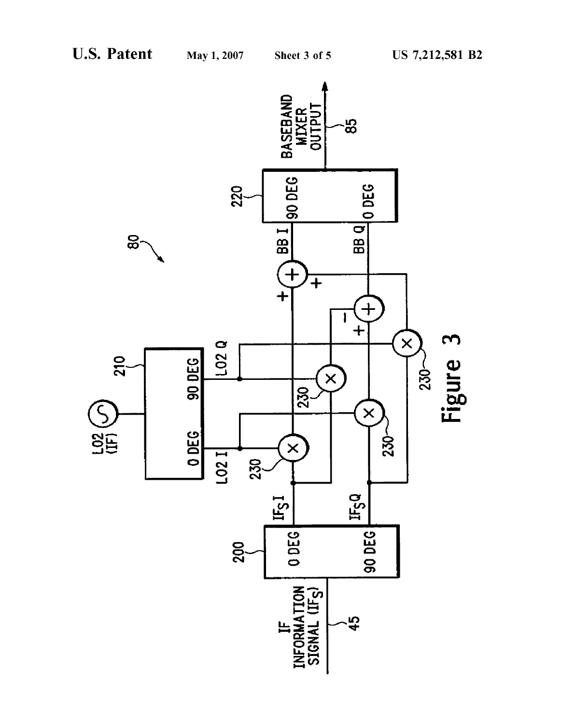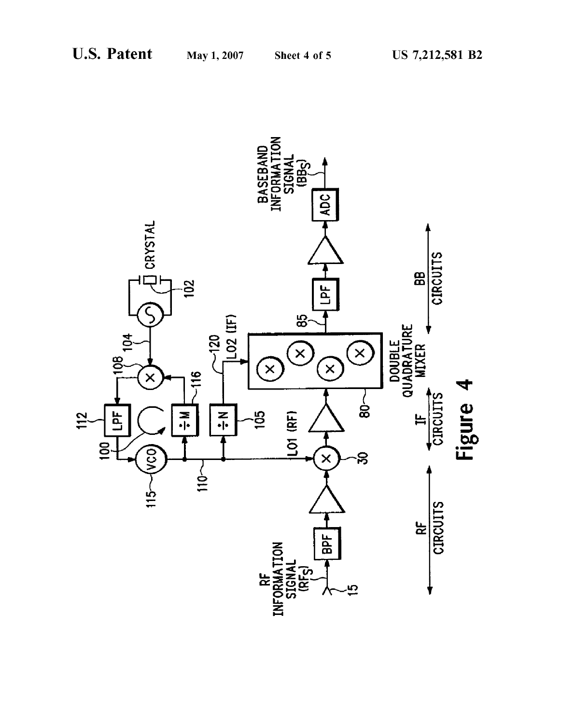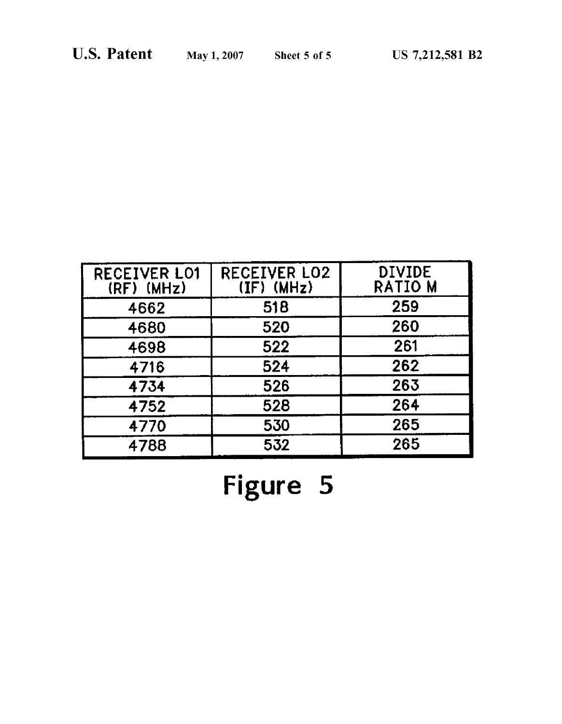| <b>RECEIVER LO1</b><br>$(RF)$ (MHz) | <b>RECEIVER LO2</b><br>$(\mathbf{IF}) \cdot (\mathbf{M} \mathbf{Hz})$ | <b>DIVIDE</b><br>RATIO M |
|-------------------------------------|-----------------------------------------------------------------------|--------------------------|
| 4662                                | 518                                                                   | 259                      |
| 4680                                | 520                                                                   | 260                      |
| 4698                                | 522                                                                   | 261                      |
| 4716                                | 524                                                                   | 262                      |
| 4734                                | 526                                                                   | 263                      |
| 4752                                | 528                                                                   | 264                      |
| 4770                                | 530                                                                   | 265                      |
| 4788                                | 532                                                                   | 265                      |

Figure 5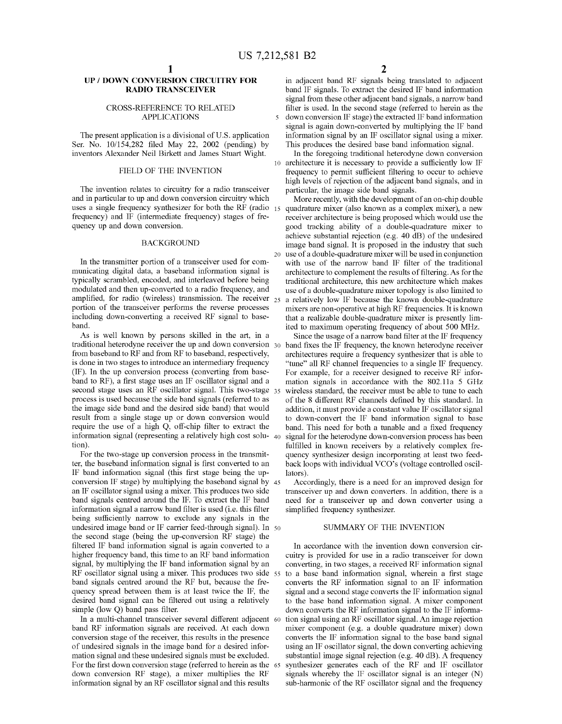10

 $\overline{\mathbf{S}}$ 

20

# UP / DOWN CONVERSION CIRCUITRY FOR RADIO TRANSCEIVER

#### CROSS-REFERENCE TO RELATED APPLICATIONS

The present application is a divisional of U.S. application Ser. No. 10/154,282 filed May 22, 2002 (pending) by inventors Alexander Neil Birkett and James Stuart Wight.

#### FIELD OF THE INVENTION

The invention relates to circuitry for a radio transceiver and in particular to up and down conversion circuitry which uses a single frequency synthesizer for both the RF (radio 15 frequency) and IF (intermediate frequency) stages of fre quency up and down conversion.

### BACKGROUND

In the transmitter portion of a transceiver used for com municating digital data, a baseband information signal is typically scrambled, encoded, and interleaved before being modulated and then up-converted to a radio frequency, and  $\alpha$  amplified, for radio (wireless) transmission. The receiver  $\alpha_{25}$ portion of the transceiver performs the reverse processes including down-converting a received RF signal to base band.

As is well known by persons skilled in the art, in a traditional heterodyne receiver the up and down conversion 30 from baseband to RF and from RF to baseband, respectively, is done in two stages to introduce an intermediary frequency (IF). In the up conversion process (converting from base band to RF), a first stage uses an IF oscillator signal and a second stage uses an RF oscillator signal. This two-stage 35 process is used because the side band signals (referred to as the image side band and the desired side band) that would result from a single stage up or down conversion would require the use of a high Q, off-chip filter to extract the information signal (representing a relatively high cost solu-  $_{40}$ tion).

For the two-stage up conversion process in the transmit ter, the baseband information signal is first converted to an IF band information signal (this first stage being the up-IF band information signal (this first stage being the up conversion IF stage) by multiplying the baseband signal by 45 an IF oscillator signal using a mixer. This produces two side band signals centred around the IF. To extract the IF band information signal a narrow band filter is used (i.e. this filter being sufficiently narrow to exclude any signals in the undesired image band or IF carrier feed-through signal). In 50 the second stage (being the up-conversion RF stage) the filtered IF band information signal is again converted to a higher frequency band, this time to an RF band information signal, by multiplying the IF band information signal by an RF oscillator signal using a mixer. This produces two side 55 band signals centred around the RF but, because the fre quency spread between them is at least twice the IF, the desired band signal can be filtered out using a relatively simple (low Q) band pass filter.

In a multi-channel transceiver several different adjacent 60 band RF information signals are received. At each down conversion stage of the receiver, this results in the presence of undesired signals in the image band for a desired infor mation signal and these undesired signals must be excluded. For the first down conversion stage (referred to herein as the 65 down conversion RF stage), a mixer multiplies the RF information signal by an RF oscillator signal and this results

in adjacent band RF signals being translated to adjacent band IF signals. To extract the desired IF band information signal from these other adjacent band signals, a narrow band filter is used. In the second stage (referred to herein as the down conversion IF stage) the extracted IF band information signal is again down-converted by multiplying the IF band information signal by an IF oscillator signal using a mixer. This produces the desired base band information signal.

In the foregoing traditional heterodyne down conversion architecture it is necessary to provide a sufficiently low IF frequency to permit sufficient filtering to occur to achieve high levels of rejection of the adjacent band signals, and in particular, the image side band signals.

More recently, with the development of an on-chip double quadrature mixer (also known as a complex mixer), a new receiver architecture is being proposed which would use the good tracking ability of a double-quadrature mixer to achieve substantial rejection (e.g. 40 dB) of the undesired image band signal. It is proposed in the industry that such use of a double-quadrature mixer will be used in conjunction with use of the narrow band IF filter of the traditional architecture to complement the results of filtering. As for the traditional architecture, this new architecture which makes use of a double-quadrature mixer topology is also limited to a relatively low IF because the known double-quadrature mixers are non-operative at high RF frequencies. It is known that a realizable double-quadrature mixer is presently lim ited to maximum operating frequency of about 500 MHz.<br>Since the usage of a narrow band filter at the IF frequency

band fixes the IF frequency, the known heterodyne receiver architectures require a frequency synthesizer that is able to "tune" all RF channel frequencies to a single IF frequency. For example, for a receiver designed to receive RF infor mation signals in accordance with the 802.11a 5 GHz wireless standard, the receiver must be able to tune to each of the 8 different RF channels defined by this standard. In addition, it must provide a constant value IF oscillator signal to down-convert the IF band information signal to base<br>band. This need for both a tunable and a fixed frequency signal for the heterodyne down-conversion process has been fulfilled in known receivers by a relatively complex fre quency synthesizer design incorporating at least two feed back loops with individual VCO's (voltage controlled oscil

Accordingly, there is a need for an improved design for transceiver up and down converters. In addition, there is a need for a transceiver up and down converter using a simplified frequency synthesizer.

#### SUMMARY OF THE INVENTION

In accordance with the invention down conversion cir cuitry is provided for use in a radio transceiver for down converting, in two stages, a received RF information signal to a base band information signal, wherein a first stage converts the RF information signal to an IF information signal and a second stage converts the IF information signal to the base band information signal. A mixer component down converts the RF information signal to the IF informa tion signal using an RF oscillator signal. An image rejection mixer component (e.g. a double quadrature mixer) down converts the IF information signal to the base band signal using an IF oscillator signal, the down converting achieving substantial image signal rejection (e.g. 40 dB). A frequency synthesizer generates each of the RF and IF oscillator signals whereby the IF oscillator signal is an integer (N) sub-harmonic of the RF oscillator signal and the frequency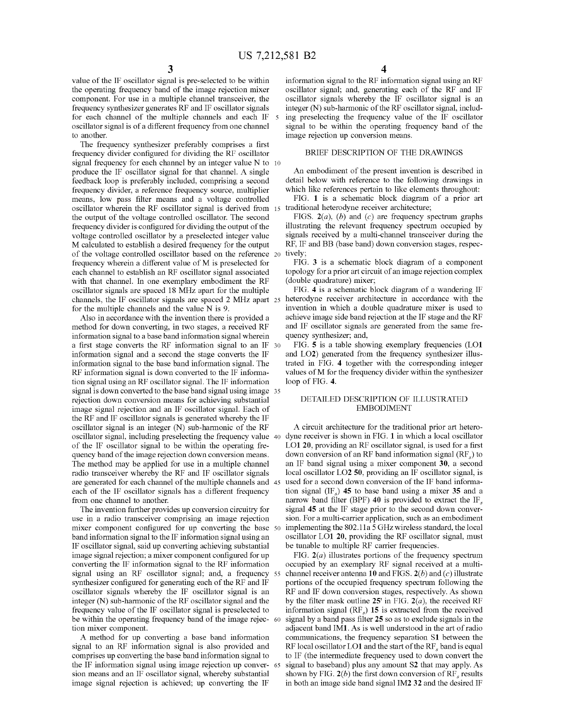value of the IF oscillator signal is pre-selected to be within the operating frequency band of the image rejection mixer component. For use in a multiple channel transceiver, the frequency synthesizer generates RF and IF oscillator signals for each channel of the multiple channels and each IF oscillator signal is of a different frequency from one channel to another.

The frequency synthesizer preferably comprises a first frequency divider configured for dividing the RF oscillator signal frequency for each channel by an integer value N to 10 produce the IF oscillator signal for that channel. A single feedback loop is preferably included, comprising a second frequency divider, a reference frequency source, multiplier means, low pass filter means and a voltage controlled oscillator wherein the RF oscillator signal is derived from 15 the output of the voltage controlled oscillator. The second frequency divider is configured for dividing the output of the voltage controlled oscillator by a preselected integer value M calculated to establish a desired frequency for the output of the voltage controlled oscillator based on the reference 20 frequency wherein a different value of M is preselected for each channel to establish an RF oscillator signal associated with that channel. In one exemplary embodiment the RF oscillator signals are spaced 18 MHz apart for the multiple channels, the IF oscillator signals are spaced 2 MHz apart 25 heterodyne receiver architecture in accordance with the for the multiple channels and the value N is 9.

Also in accordance with the invention there is provided a method for down converting, in two stages, a received RF information signal to a base band information signal wherein a first stage converts the RF information signal to an IF 30 information signal and a second the stage converts the IF information signal to the base band information signal. The RF information signal is down converted to the IF informa tion signal using an RF oscillator signal. The IF information signal is down converted to the base band signal using image 35 rejection down conversion means for achieving substantial image signal rejection and an IF oscillator signal. Each of the RF and IF oscillator signals is generated whereby the IF oscillator signal is an integer (N) sub-harmonic of the RF oscillator signal, including preselecting the frequency value 40 dyne receiver is shown in FIG. 1 in which a local oscillator of the IF oscillator signal to be within the operating fre quency band of the image rejection down conversion means. The method may be applied for use in a multiple channel radio transceiver whereby the RF and IF oscillator signals are generated for each channel of the multiple channels and 45 each of the IF oscillator signals has a different frequency from one channel to another.

The invention further provides up conversion circuitry for use in a radio transceiver comprising an image rejection use in a radio transceiver comprising an image rejection mixer component configured for up converting the base 50 band information signal to the IF information signal using an IF oscillator signal, said up converting achieving substantial image signal rejection; a mixer component configured for up converting the IF information signal to the RF information synthesizer configured for generating each of the RF and IF oscillator signals whereby the IF oscillator signal is an integer (N) sub-harmonic of the RF oscillator signal and the frequency value of the IF oscillator signal is preselected to be within the operating frequency band of the image rejec- 60 tion mixer component. signal using an RF oscillator signal; and, a frequency 55

A method for up converting a base band information signal to an RF information signal is also provided and comprises up converting the base band information signal to the IF information signal using image rejection up conver- 65 sion means and an IF oscillator signal, whereby substantial image signal rejection is achieved; up converting the IF

information signal to the RF information signal using an RF oscillator signal; and, generating each of the RF and IF oscillator signals whereby the IF oscillator signal is an integer (N) sub-harmonic of the RF oscillator signal, includ ing preselecting the frequency value of the IF oscillator signal to be within the operating frequency band of the image rejection up conversion means.

## BRIEF DESCRIPTION OF THE DRAWINGS

An embodiment of the present invention is described in detail below with reference to the following drawings in which like references pertain to like elements throughout:

FIG. 1 is a schematic block diagram of a prior art traditional heterodyne receiver architecture;<br>FIGS.  $2(a)$ , (b) and (c) are frequency spectrum graphs

illustrating the relevant frequency spectrum occupied by signals received by a multi-channel transceiver during the RF, IF and BB (base band) down conversion stages, respectively:

FIG. 3 is a schematic block diagram of a component topology for a prior art circuit of an image rejection complex (double quadrature) mixer,

FIG. 4 is a schematic block diagram of a wandering IF invention in which a double quadrature mixer is used to achieve image side band rejection at the IF stage and the RF and IF oscillator signals are generated from the same fre quency synthesizer; and,

FIG. 5 is a table showing exemplary frequencies (LO1 and LO2) generated from the frequency synthesizer illus trated in FIG. 4 together with the corresponding integer values of M for the frequency divider within the synthesizer loop of FIG. 4.

## DETAILED DESCRIPTION OF ILLUSTRATED EMBODIMENT

A circuit architecture for the traditional prior art hetero LO1 20, providing an RF oscillator signal, is used for a first down conversion of an RF band information signal  $(RF)$  to an IF band signal using a mixer component 30, a second local oscillator LO2 50, providing an IF oscillator signal, is used for a second down conversion of the IF band informa tion signal (IF.) 45 to base band using a mixer 35 and a narrow band filter (BPF) 40 is provided to extract the IF, signal 45 at the IF stage prior to the second down conver sion. For a multi-carrier application, such as an embodiment implementing the 802.11a 5 GHz wireless standard, the local oscillator LO1 20, providing the RF oscillator signal, must

be tunable to multiple RF carrier frequencies.<br>FIG.  $2(a)$  illustrates portions of the frequency spectrum occupied by an exemplary RF signal received at a multi-channel receiver antenna 10 and FIGS.  $2(b)$  and  $(c)$  illustrate portions of the occupied frequency spectrum following the RF and IF down conversion stages, respectively. As shown by the filter mask outline 25' in FIG.  $2(a)$ , the received RF information signal  $(RF_s)$  15 is extracted from the received signal by a band pass filter 25 so as to exclude signals in the adjacent band IM1. As is well understood in the art of radio communications, the frequency separation S1 between the RF local oscillator LO1 and the start of the RF, band is equal to IF (the intermediate frequency used to down convert the signal to baseband) plus any amount S2 that may apply. As shown by FIG.  $2(b)$  the first down conversion of RF, results in both an image side band signal IM2 32 and the desired IF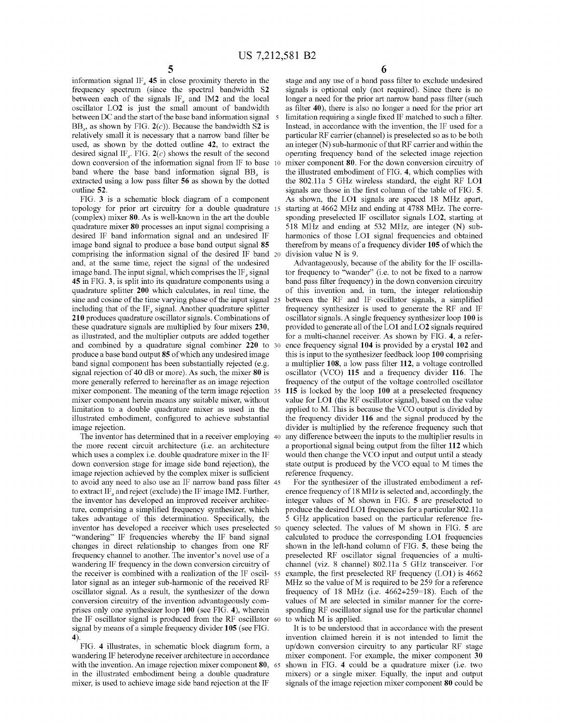information signal IF, 45 in close proximity thereto in the frequency spectrum (since the spectral bandwidth S2 between each of the signals  $IF_s$  and  $IM2$  and the local oscillator LO2 is just the small amount of bandwidth between DC and the start of the base band information signal  $BB_s$ , as shown by FIG.  $2(c)$ ). Because the bandwidth S2 is relatively small it is necessary that a narrow band filter be used, as shown by the dotted outline 42, to extract the desired signal IF<sub>s</sub>. FIG.  $2(c)$  shows the result of the second down conversion of the information signal from IF to base 10 band where the base band information signal BB, is extracted using a low pass filter 56 as shown by the dotted outline 52.

FIG. 3 is a schematic block diagram of a component topology for prior art circuitry for a double quadrature 15 (complex) mixer 80. As is well-known in the art the double quadrature mixer 80 processes an input signal comprising a desired IF band information signal and an undesired IF image band signal to produce a base band output signal 85 comprising the information signal of the desired IF band 20 and, at the same time, reject the signal of the undesired image band. The input signal, which comprises the  $IF_s$  signal 45 in FIG. 3, is split into its quadrature components using a quadrature splitter 200 which calculates, in real time, the including that of the  $IF_s$  signal. Another quadrature splitter 210 produces quadrature oscillator signals. Combinations of these quadrature signals are multiplied by four mixers 230, as illustrated, and the multiplier outputs are added together and combined by a quadrature signal combiner 220 to 30 produce a base band output 85 of which any undesired image band signal component has been substantially rejected (e.g. signal rejection of 40 dB or more). As such, the mixer  $80$  is more generally referred to hereinafter as an image rejection more generally referred to hereinafter as an image rejection mixer component. The meaning of the term image rejection 35 mixer component herein means any suitable mixer, without limitation to a double quadrature mixer as used in the illustrated embodiment, configured to achieve substantial image rejection. sine and cosine of the time varying phase of the input signal 25

The inventor has determined that in a receiver employing 40 the more recent circuit architecture (i.e. an architecture which uses a complex i.e. double quadrature mixer in the IF down conversion stage for image side band rejection), the image rejection achieved by the complex mixer is sufficient to avoid any need to also use an IF narrow band pass filter 45 to extract IF<sub>s</sub> and reject (exclude) the IF image IM2. Further, the inventor has developed an improved receiver architec ture, comprising a simplified frequency synthesizer, which takes advantage of this determination. Specifically, the "wandering" IF frequencies whereby the IF band signal changes in direct relationship to changes from one RF frequency channel to another. The inventor's novel use of a wandering IF frequency in the down conversion circuitry of the receiver is combined with a realization of the  $IF$  oscil-  $55$ lator signal as an integer sub-harmonic of the received RF oscillator signal. As a result, the synthesizer of the down conversion circuitry of the invention advantageously com prises only one synthesizer loop 100 (see FIG. 4), wherein the IF oscillator signal is produced from the RF oscillator 60 signal by means of a simple frequency divider 105 (see FIG. 4). inventor has developed a receiver which uses preselected 50

FIG. 4 illustrates, in schematic block diagram form, a wandering IF heterodyne receiver architecture in accordance with the invention. An image rejection mixer component **80**, 65 in the illustrated embodiment being a double quadrature mixer, is used to achieve image side band rejection at the IF

6

stage and any use of a band pass filter to exclude undesired signals is optional only (not required). Since there is no longer a need for the prior art narrow band pass filter (such as filter 40), there is also no longer a need for the prior art limitation requiring a single fixed IF matched to such a filter. Instead, in accordance with the invention, the IF used for a particular RF carrier (channel) is preselected so as to be both an integer (N) sub-harmonic of that RF carrier and within the operating frequency band of the selected image rejection mixer component 80. For the down conversion circuitry of the illustrated embodiment of FIG. 4, which complies with the 802.11a 5 GHz wireless standard, the eight RF LO1 signals are those in the first column of the table of FIG. 5. As shown, the LO1 signals are spaced 18 MHz apart, starting at 4662 MHz and ending at 4788 MHz. The corre sponding preselected IF oscillator signals LO2, starting at 518 MHz and ending at 532 MHz, are integer (N) sub harmonics of those LO1 signal frequencies and obtained therefrom by means of a frequency divider 105 of which the division value N is 9.

Advantageously, because of the ability for the IF oscilla tor frequency to "wander" (i.e. to not be fixed to a narrow band pass filter frequency) in the down conversion circuitry of this invention and, in turn, the integer relationship<br>between the RF and IF oscillator signals, a simplified frequency synthesizer is used to generate the RF and IF oscillator signals. A single frequency synthesizer loop 100 is provided to generate all of the LO1 and LO2 signals required for a multi-channel receiver. As shown by FIG. 4, a refer ence frequency signal 104 is provided by a crystal 102 and this is input to the synthesizer feedback loop 100 comprising a multiplier 108, a low pass filter 112, a voltage controlled oscillator (VCO) 115 and a frequency divider 116. The frequency of the output of the voltage controlled oscillator 115 is locked by the loop 100 at a preselected frequency value for LO1 (the RF oscillator signal), based on the value applied to M. This is because the VCO output is divided by the frequency divider 116 and the signal produced by the divider is multiplied by the reference frequency such that any difference between the inputs to the multiplier results in a proportional signal being output from the filter 112 which would then change the VCO input and output until a steady state output is produced by the VCO equal to M times the reference frequency.

For the synthesizer of the illustrated embodiment a ref erence frequency of 18 MHz is selected and, accordingly, the integer values of M shown in FIG. 5 are preselected to produce the desired LO1 frequencies for a particular 802.11a 5 GHz application based on the particular reference fre quency selected. The values of M shown in FIG. 5 are calculated to produce the corresponding LO1 frequencies shown in the left-hand column of FIG. 5, these being the preselected RF oscillator signal frequencies of a multi channel (viz. 8 channel) 802.11a 5 GHz transceiver. For example, the first preselected RF frequency (LO1) is 4662 MHz so the value of M is required to be 259 for a reference frequency of 18 MHz (i.e.  $4662 \div 259 = 18$ ). Each of the values of M are selected in similar manner for the corre sponding RF oscillator signal use for the particular channel to which M is applied.

It is to be understood that in accordance with the present invention claimed herein it is not intended to limit the up/down conversion circuitry to any particular RF stage mixer component. For example, the mixer component 30 shown in FIG. 4 could be a quadrature mixer (i.e. two mixers) or a single mixer. Equally, the input and output signals of the image rejection mixer component 80 could be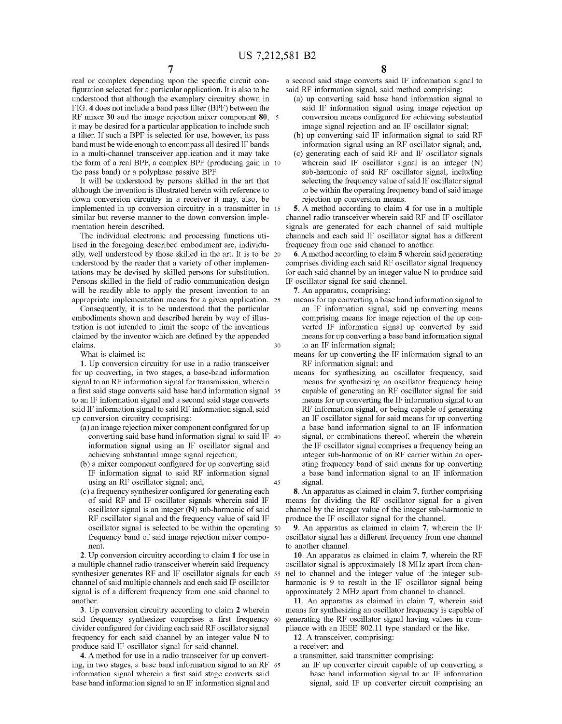30

real or complex depending upon the specific circuit con figuration selected for a particular application. It is also to be understood that although the exemplary circuitry shown in FIG. 4 does not include a band pass filter (BPF) between the RF mixer 30 and the image rejection mixer component 80, 5 it may be desired for a particular application to include such a filter. If such a BPF is selected for use, however, its pass band must be wide enough to encompass all desired IF bands in a multi-channel transceiver application and it may take the form of a real BPF, a complex BPF (producing gain in 10 the pass band) or a polyphase passive BPF.

It will be understood by persons skilled in the art that although the invention is illustrated herein with reference to down conversion circuitry in a receiver it may, also, be implemented in up conversion circuitry in a transmitter in 15 similar but reverse manner to the down conversion imple mentation herein described.

The individual electronic and processing functions uti lised in the foregoing described embodiment are, individu ally, well understood by those skilled in the art. It is to be 20 understood by the reader that a variety of other implemen tations may be devised by skilled persons for substitution.<br>Persons skilled in the field of radio communication design will be readily able to apply the present invention to an appropriate implementation means for a given application. 25

Consequently, it is to be understood that the particular embodiments shown and described herein by way of illus tration is not intended to limit the scope of the inventions claimed by the inventor which are defined by the appended claims.

What is claimed is:

1. Up conversion circuitry for use in a radio transceiver for up converting, in two stages, a base-band information signal to an RF information signal for transmission, wherein a first said stage converts said base band information signal 35 to an IF information signal and a second said stage converts said IF information signal to said RF information signal, said up conversion circuitry comprising:

- (a) an image rejection mixer component configured for up converting said base band information signal to said IF 40 information signal using an IF oscillator signal and achieving substantial image signal rejection;
- (b) a mixer component configured for up converting said IF information signal to said RF information signal using an RF oscillator signal; and, 45
- (c) a frequency synthesizer configured for generating each of said RF and IF oscillator signals wherein said IF oscillator signal is an integer (N) sub-harmonic of said RF oscillator signal and the frequency value of said IF frequency band of said image rejection mixer component. oscillator signal is selected to be within the operating 50

2. Up conversion circuitry according to claim 1 for use in a multiple channel radio transceiver wherein said frequency a multiple channel radio transceiver wherein said frequency synthesizer generates RF and IF oscillator signals for each 55 channel of said multiple channels and each said IF oscillator signal is of a different frequency from one said channel to another.

3. Up conversion circuitry according to claim 2 wherein said frequency synthesizer comprises a first frequency 60 divider configured for dividing each said RF oscillator signal frequency for each said channel by an integer value N to produce said IF oscillator signal for said channel.

4. A method for use in a radio transceiver for up convert ing, in two stages, a base band information signal to an RF 65 information signal wherein a first said stage converts said base band information signal to an IF information signal and

a second said stage converts said IF information signal to said RF information signal, said method comprising:

- (a) up converting said base band information signal to said IF information signal using image rejection up conversion means configured for achieving substantial image signal rejection and an IF oscillator signal;
- (b) up converting said IF information signal to said RF information signal using an RF oscillator signal; and,
- (c) generating each of said RF and IF oscillator signals wherein said IF oscillator signal is an integer (N) sub-harmonic of said RF oscillator signal, including selecting the frequency value of said IF oscillator signal to be within the operating frequency band of said image rejection up conversion means.

5. A method according to claim 4 for use in a multiple channel radio transceiver wherein said RF and IF oscillator signals are generated for each channel of said multiple channels and each said IF oscillator signal has a different frequency from one said channel to another.<br>6. A method according to claim 5 wherein said generating

comprises dividing each said RF oscillator signal frequency for each said channel by an integer value N to produce said IF oscillator signal for said channel.

7. An apparatus, comprising:

- means for up converting a base band information signal to an IF information signal, said up converting means comprising means for image rejection of the up con verted IF information signal up converted by said means for up converting a base band information signal to an IF information signal;
- means for up converting the IF information signal to an RF information signal; and
- means for synthesizing an oscillator frequency, said means for synthesizing an oscillator frequency being capable of generating an RF oscillator signal for said means for up converting the IF information signal to an RF information signal, or being capable of generating an IF oscillator signal for said means for up converting a base band information signal to an IF information signal, or combinations thereof, wherein the wherein the IF oscillator signal comprises a frequency being an integer sub-harmonic of an RF carrier within an operating frequency band of said means for up converting a base band information signal to an IF information signal.

8. An apparatus as claimed in claim 7, further comprising means for dividing the RF oscillator signal for a given channel by the integer value of the integer sub-harmonic to produce the IF oscillator signal for the channel.

9. An apparatus as claimed in claim 7, wherein the IF oscillator signal has a different frequency from one channel to another channel.

10. An apparatus as claimed in claim 7, wherein the RF oscillator signal is approximately 18 MHz apart from chan nel to channel and the integer value of the integer sub approximately 2 MHz apart from channel to channel.

11. An apparatus as claimed in claim 7, wherein said means for synthesizing an oscillator frequency is capable of generating the RF oscillator signal having values in com pliance with an IEEE 802.11 type standard or the like.

12. A transceiver, comprising:

a receiver; and

a transmitter, said transmitter comprising:

an IF up converter circuit capable of up converting a base band information signal to an IF information signal, said IF up converter circuit comprising an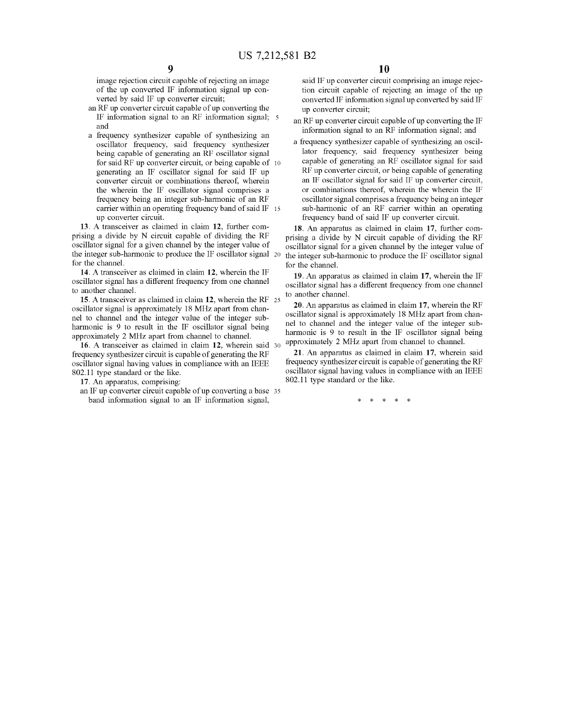image rejection circuit capable of rejecting an image of the up converted IF information signal up con verted by said IF up converter circuit;

- an RF up converter circuit capable of up converting the IF information signal to an RF information signal; 5 and
- a frequency synthesizer capable of synthesizing an oscillator frequency, said frequency synthesizer being capable of generating an RF oscillator signal for said RF up converter circuit, or being capable of 10 generating an IF oscillator signal for said IF up converter circuit or combinations thereof, wherein the wherein the IF oscillator signal comprises a frequency being an integer sub-harmonic of an RF carrier within an operating frequency band of said IF 15 up converter circuit.

13. A transceiver as claimed in claim 12, further com prising a divide by N circuit capable of dividing the RF oscillator signal for a given channel by the integer value of the integer sub-harmonic to produce the IF oscillator signal 20 for the channel.

14. A transceiver as claimed in claim 12, wherein the IF oscillator signal has a different frequency from one channel to another channel.

15. A transceiver as claimed in claim 12, wherein the RF 25 oscillator signal is approximately 18 MHz apart from chan nel to channel and the integer value of the integer sub approximately 2 MHz apart from channel to channel.

16. A transceiver as claimed in claim 12, wherein said 30 frequency synthesizer circuit is capable of generating the RF oscillator signal having values in compliance with an IEEE 802.11 type standard or the like.

17. An apparatus, comprising:

an IF up converter circuit capable of up converting a base 35 band information signal to an IF information signal,

said IF up converter circuit comprising an image rejec tion circuit capable of rejecting an image of the up converted IF information signal up converted by said IF up converter circuit;

- an RF up converter circuit capable of up converting the IF information signal to an RF information signal; and
- a frequency synthesizer capable of synthesizing an oscil lator frequency, said frequency synthesizer being capable of generating an RF oscillator signal for said RF up converter circuit, or being capable of generating an IF oscillator signal for said IF up converter circuit, or combinations thereof, wherein the wherein the IF oscillator signal comprises a frequency being an integer frequency band of said IF up converter circuit.

18. An apparatus as claimed in claim 17, further com prising a divide by N circuit capable of dividing the RF oscillator signal for a given channel by the integer value of the integer sub-harmonic to produce the IF oscillator signal for the channel.

19. An apparatus as claimed in claim 17, wherein the IF oscillator signal has a different frequency from one channel to another channel.

20. An apparatus as claimed in claim 17, wherein the RF oscillator signal is approximately 18 MHz apart from chan nel to channel and the integer value of the integer sub approximately 2 MHz apart from channel to channel.

21. An apparatus as claimed in claim 17, wherein said frequency synthesizer circuit is capable of generating the RF oscillator signal having values in compliance with an IEEE 802.11 type standard or the like.